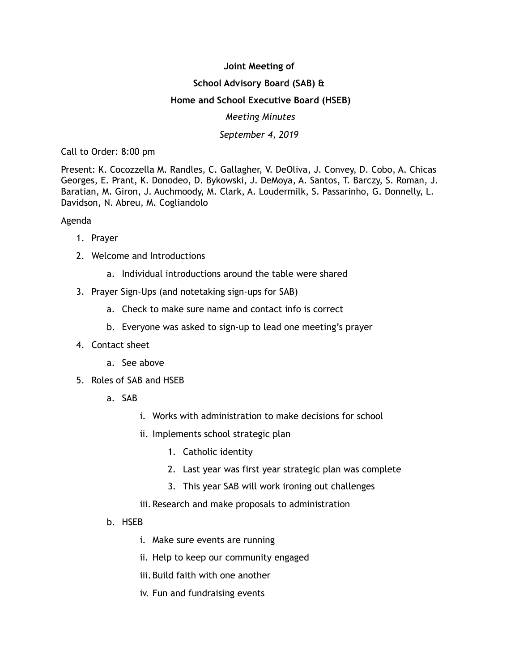## **Joint Meeting of School Advisory Board (SAB) & Home and School Executive Board (HSEB)**  *Meeting Minutes September 4, 2019*

Call to Order: 8:00 pm

Present: K. Cocozzella M. Randles, C. Gallagher, V. DeOliva, J. Convey, D. Cobo, A. Chicas Georges, E. Prant, K. Donodeo, D. Bykowski, J. DeMoya, A. Santos, T. Barczy, S. Roman, J. Baratian, M. Giron, J. Auchmoody, M. Clark, A. Loudermilk, S. Passarinho, G. Donnelly, L. Davidson, N. Abreu, M. Cogliandolo

## Agenda

- 1. Prayer
- 2. Welcome and Introductions
	- a. Individual introductions around the table were shared
- 3. Prayer Sign-Ups (and notetaking sign-ups for SAB)
	- a. Check to make sure name and contact info is correct
	- b. Everyone was asked to sign-up to lead one meeting's prayer
- 4. Contact sheet
	- a. See above
- 5. Roles of SAB and HSEB
	- a. SAB
		- i. Works with administration to make decisions for school
		- ii. Implements school strategic plan
			- 1. Catholic identity
			- 2. Last year was first year strategic plan was complete
			- 3. This year SAB will work ironing out challenges
		- iii. Research and make proposals to administration
	- b. HSEB
		- i. Make sure events are running
		- ii. Help to keep our community engaged
		- iii. Build faith with one another
		- iv. Fun and fundraising events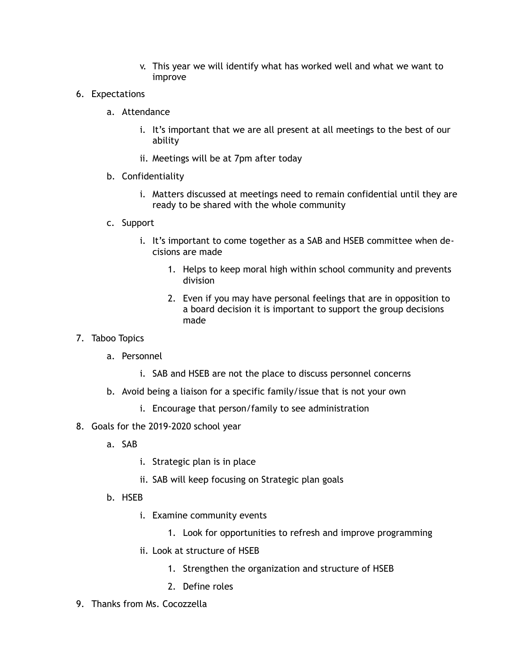- v. This year we will identify what has worked well and what we want to improve
- 6. Expectations
	- a. Attendance
		- i. It's important that we are all present at all meetings to the best of our ability
		- ii. Meetings will be at 7pm after today
	- b. Confidentiality
		- i. Matters discussed at meetings need to remain confidential until they are ready to be shared with the whole community
	- c. Support
		- i. It's important to come together as a SAB and HSEB committee when decisions are made
			- 1. Helps to keep moral high within school community and prevents division
			- 2. Even if you may have personal feelings that are in opposition to a board decision it is important to support the group decisions made
- 7. Taboo Topics
	- a. Personnel
		- i. SAB and HSEB are not the place to discuss personnel concerns
	- b. Avoid being a liaison for a specific family/issue that is not your own
		- i. Encourage that person/family to see administration
- 8. Goals for the 2019-2020 school year
	- a. SAB
		- i. Strategic plan is in place
		- ii. SAB will keep focusing on Strategic plan goals
	- b. HSEB
		- i. Examine community events
			- 1. Look for opportunities to refresh and improve programming
		- ii. Look at structure of HSEB
			- 1. Strengthen the organization and structure of HSEB
			- 2. Define roles
- 9. Thanks from Ms. Cocozzella